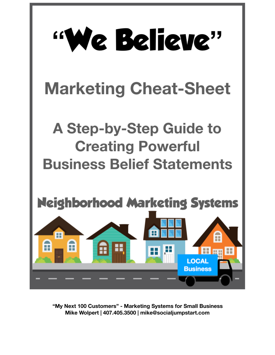

**"My Next 100 Customers" - Marketing Systems for Small Business Mike Wolpert | 407.405.3500 | mike@socialjumpstart.com**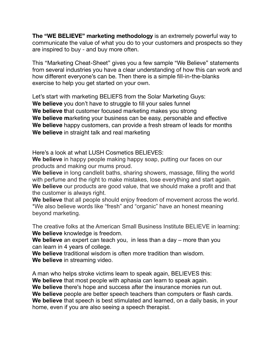**The "WE BELIEVE" marketing methodology** is an extremely powerful way to communicate the value of what you do to your customers and prospects so they are inspired to buy - and buy more often.

This "Marketing Cheat-Sheet" gives you a few sample "We Believe" statements from several industries you have a clear understanding of how this can work and how different everyone's can be. Then there is a simple fill-in-the-blanks exercise to help you get started on your own.

Let's start with marketing BELIEFS from the Solar Marketing Guys: **We believe** you don't have to struggle to fill your sales funnel **We believe t**hat customer focused marketing makes you strong **We believe m**arketing your business can be easy, personable and effective **We believe** happy customers, can provide a fresh stream of leads for months **We believe** in straight talk and real marketing

Here's a look at what LUSH Cosmetics BELIEVES:

**We believe** in happy people making happy soap, putting our faces on our products and making our mums proud.

**We believe** in long candlelit baths, sharing showers, massage, filling the world with perfume and the right to make mistakes, lose everything and start again. **We believe** our products are good value, that we should make a profit and that the customer is always right.

**We believe** that all people should enjoy freedom of movement across the world. \*We also believe words like "fresh" and "organic" have an honest meaning beyond marketing.

The creative folks at the American Small Business Institute BELIEVE in learning: **We believe** knowledge is freedom.

**We believe** an expert can teach you, in less than a day – more than you can learn in 4 years of college.

**We believe** traditional wisdom is often more tradition than wisdom. **We believe** in streaming video.

A man who helps stroke victims learn to speak again, BELIEVES this: **We believe** that most people with aphasia can learn to speak again. **We believe** there's hope and success after the insurance monies run out. **We believe** people are better speech teachers than computers or flash cards. **We believe** that speech is best stimulated and learned, on a daily basis, in your home, even if you are also seeing a speech therapist.